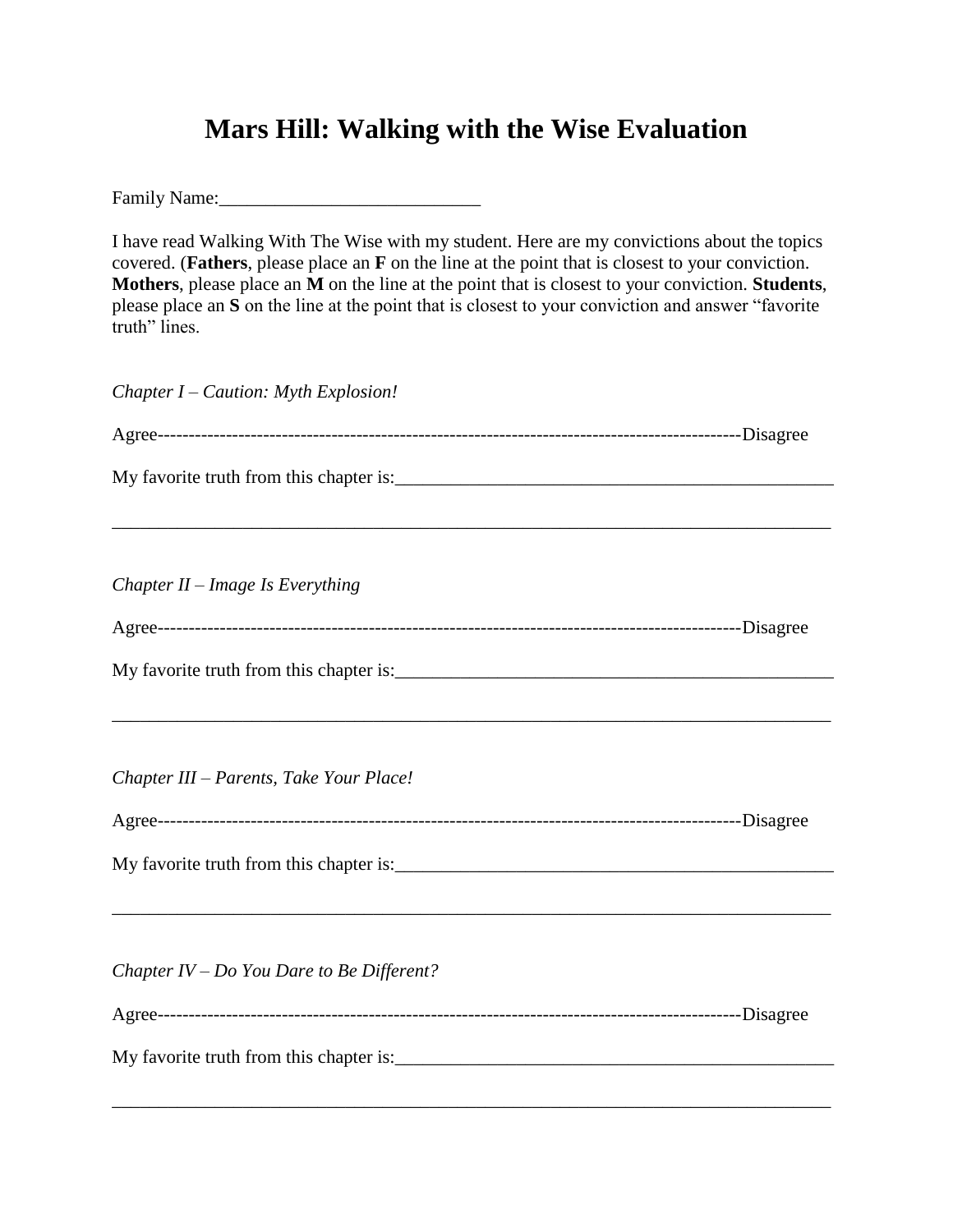## **Mars Hill: Walking with the Wise Evaluation**

Family Name:\_\_\_\_\_\_\_\_\_\_\_\_\_\_\_\_\_\_\_\_\_\_\_\_\_\_\_\_

I have read Walking With The Wise with my student. Here are my convictions about the topics covered. (**Fathers**, please place an **F** on the line at the point that is closest to your conviction. **Mothers**, please place an **M** on the line at the point that is closest to your conviction. **Students**, please place an **S** on the line at the point that is closest to your conviction and answer "favorite truth" lines.

*Chapter I – Caution: Myth Explosion!*

| Chapter $II$ – Image Is Everything          |  |
|---------------------------------------------|--|
|                                             |  |
|                                             |  |
|                                             |  |
|                                             |  |
| Chapter III - Parents, Take Your Place!     |  |
|                                             |  |
|                                             |  |
|                                             |  |
|                                             |  |
| Chapter $IV - Do$ You Dare to Be Different? |  |
|                                             |  |
|                                             |  |
|                                             |  |

\_\_\_\_\_\_\_\_\_\_\_\_\_\_\_\_\_\_\_\_\_\_\_\_\_\_\_\_\_\_\_\_\_\_\_\_\_\_\_\_\_\_\_\_\_\_\_\_\_\_\_\_\_\_\_\_\_\_\_\_\_\_\_\_\_\_\_\_\_\_\_\_\_\_\_\_\_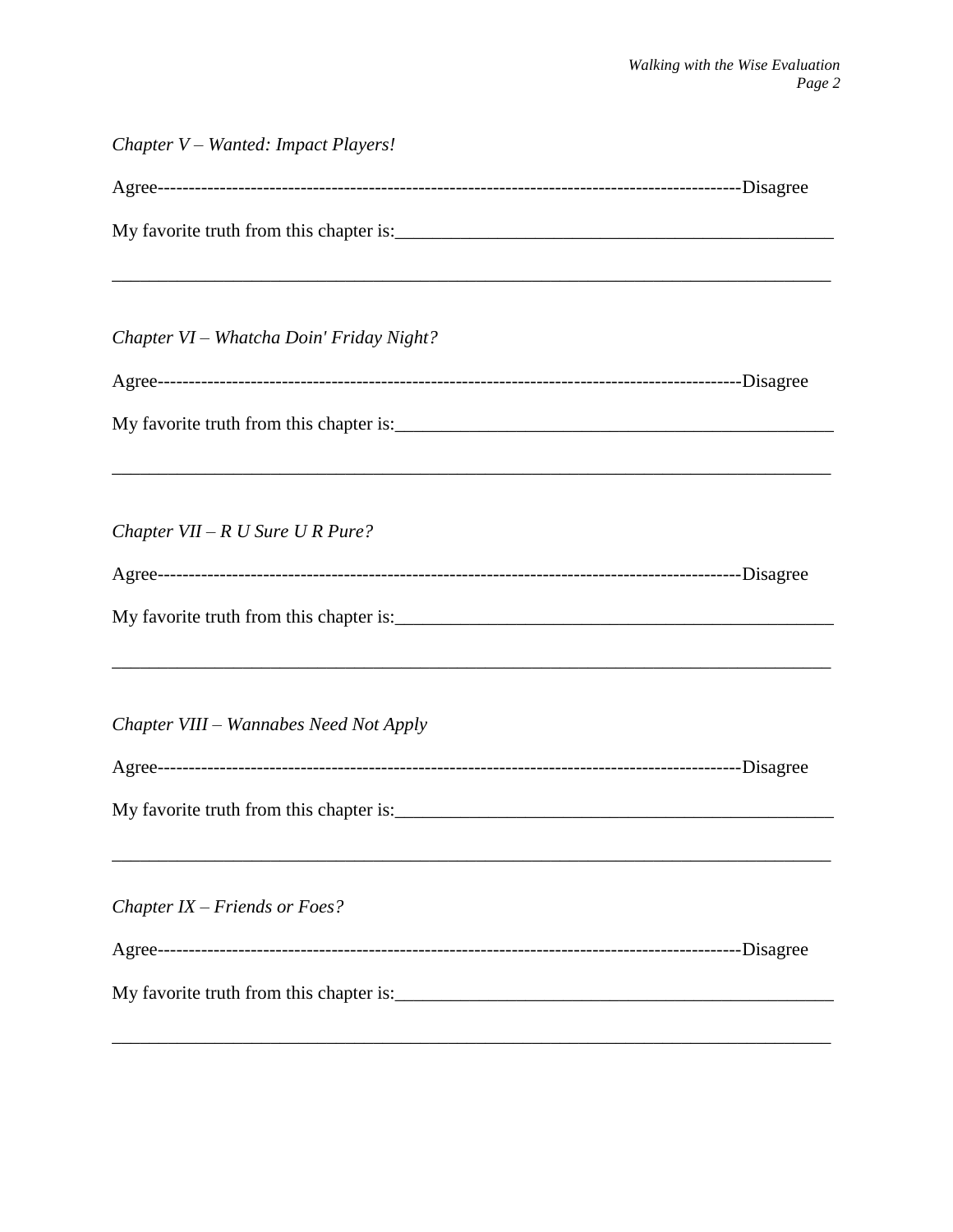| Chapter V – Wanted: Impact Players!      |  |
|------------------------------------------|--|
|                                          |  |
|                                          |  |
|                                          |  |
| Chapter VI - Whatcha Doin' Friday Night? |  |
|                                          |  |
|                                          |  |
|                                          |  |
| Chapter $VII - R U$ Sure U R Pure?       |  |
|                                          |  |
|                                          |  |
| Chapter VIII - Wannabes Need Not Apply   |  |
|                                          |  |
|                                          |  |
| Chapter $IX$ – Friends or Foes?          |  |
|                                          |  |
|                                          |  |